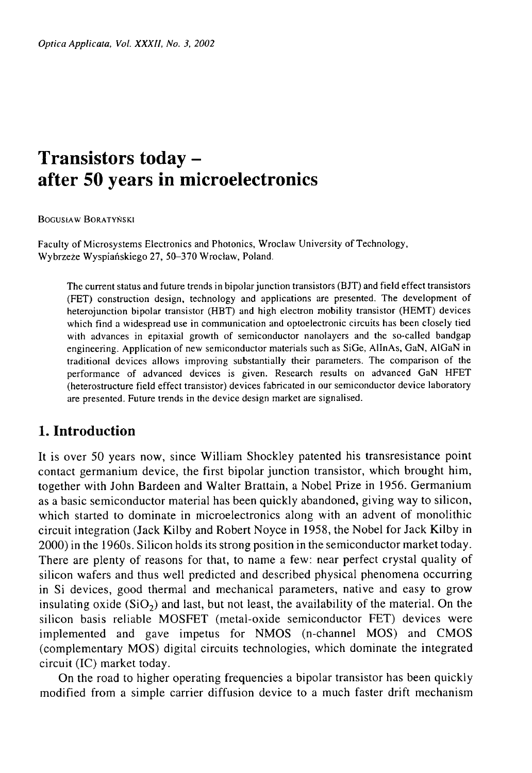# **Transistors today after 50 years in microelectronics**

Bogusław Boratyński

Faculty of Microsystems Electronics and Photonics, Wroclaw University of Technology, **Wybrzeże Wyspiańskiego 27, 50-370 Wrocław, Poland.**

**The current status and future trends in bipolar junction transistors (BJT) and field effect transistors (FET) construction design, technology and applications are presented. The development of heterojunction bipolar transistor (FIBT) and high electron mobility transistor (HEMT) devices which find a widespread use in communication and optoelectronic circuits has been closely tied with advances in epitaxial growth of semiconductor nanolayers and the so-called bandgap engineering. Application of new semiconductor materials such as SiGe, AlInAs, GaN, AlGaN in traditional devices allows improving substantially their parameters. The comparison of the performance of advanced devices is given. Research results on advanced GaN HFET (heterostructure field effect transistor) devices fabricated in our semiconductor device laboratory are presented. Future trends in the device design market are signalised.**

# **1. Introduction**

It is over 50 years now, since William Shockley patented his transresistance point contact germanium device, the first bipolar junction transistor, which brought him, together with John Bardeen and Walter Brattain, a Nobel Prize in 1956. Germanium as a basic semiconductor material has been quickly abandoned, giving way to silicon, which started to dominate in microelectronics along with an advent of monolithic circuit integration (Jack Kilby and Robert Noyce in 1958, the Nobel for Jack Kilby in 2000) in the 1960s. Silicon holds its strong position in the semiconductor market today. There are plenty of reasons for that, to name a few: near perfect crystal quality of silicon wafers and thus well predicted and described physical phenomena occurring in Si devices, good thermal and mechanical parameters, native and easy to grow insulating oxide ( $SiO<sub>2</sub>$ ) and last, but not least, the availability of the material. On the silicon basis reliable MOSFET (metal-oxide semiconductor FET) devices were implemented and gave impetus for NMOS (n-channel MOS) and CMOS (complementary MOS) digital circuits technologies, which dominate the integrated circuit (IC) market today.

On the road to higher operating frequencies a bipolar transistor has been quickly modified from a simple carrier diffusion device to a much faster drift mechanism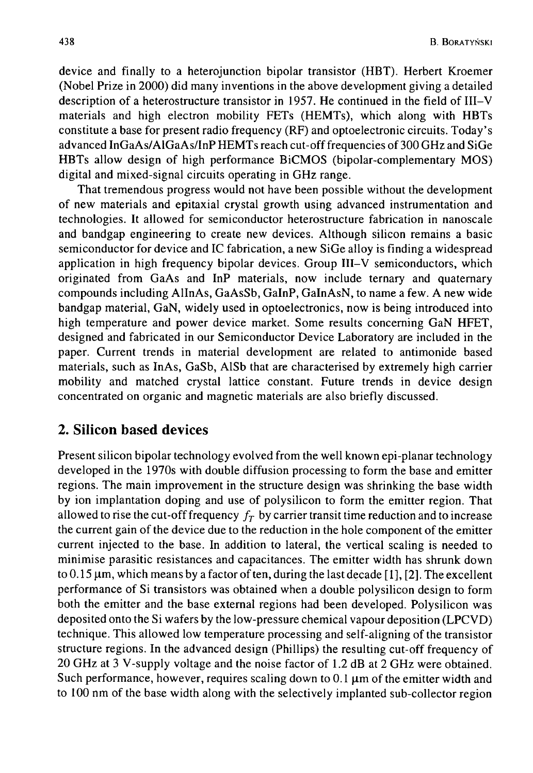device and finally to a heterojunction bipolar transistor (HBT). Herbert Kroemer (Nobel Prize in 2000) did many inventions in the above development giving a detailed description of a heterostructure transistor in 1957. He continued in the field of III—V materials and high electron mobility FETs (HEMTs), which along with HBTs constitute a base for present radio frequency (RF) and optoelectronic circuits. Today's advanced InGaAs/AlGaAs/InP HEMTs reach cut-off frequencies of 300 GHz and SiGe HBTs allow design of high performance BiCMOS (bipolar-complementary MOS) digital and mixed-signal circuits operating in GHz range.

That tremendous progress would not have been possible without the development of new materials and epitaxial crystal growth using advanced instrumentation and technologies. It allowed for semiconductor heterostructure fabrication in nanoscale and bandgap engineering to create new devices. Although silicon remains a basic semiconductor for device and IC fabrication, a new SiGe alloy is finding a widespread application in high frequency bipolar devices. Group III–V semiconductors, which originated from GaAs and InP materials, now include ternary and quaternary compounds including AlInAs, GaAsSb, GalnP, GalnAsN, to name a few. A new wide bandgap material, GaN, widely used in optoelectronics, now is being introduced into high temperature and power device market. Some results concerning GaN HFET, designed and fabricated in our Semiconductor Device Laboratory are included in the paper. Current trends in material development are related to antimonide based materials, such as InAs, GaSb, AlSb that are characterised by extremely high carrier mobility and matched crystal lattice constant. Future trends in device design concentrated on organic and magnetic materials are also briefly discussed.

## **2. Silicon based devices**

Present silicon bipolar technology evolved from the well known epi-planar technology developed in the 1970s with double diffusion processing to form the base and emitter regions. The main improvement in the structure design was shrinking the base width by ion implantation doping and use of polysilicon to form the emitter region. That allowed to rise the cut-off frequency  $f<sub>T</sub>$  by carrier transit time reduction and to increase the current gain of the device due to the reduction in the hole component of the emitter current injected to the base. In addition to lateral, the vertical scaling is needed to minimise parasitic resistances and capacitances. The emitter width has shrunk down to 0.15  $\mu$ m, which means by a factor of ten, during the last decade [1], [2]. The excellent performance of Si transistors was obtained when a double polysilicon design to form both the emitter and the base external regions had been developed. Polysilicon was deposited onto the Si wafers by the low-pressure chemical vapour deposition (LPCVD) technique. This allowed low temperature processing and self-aligning of the transistor structure regions. In the advanced design (Phillips) the resulting cut-off frequency of 20 GHz at 3 V-supply voltage and the noise factor of 1.2 dB at 2 GHz were obtained. Such performance, however, requires scaling down to  $0.1 \mu m$  of the emitter width and to 100 nm of the base width along with the selectively implanted sub-collector region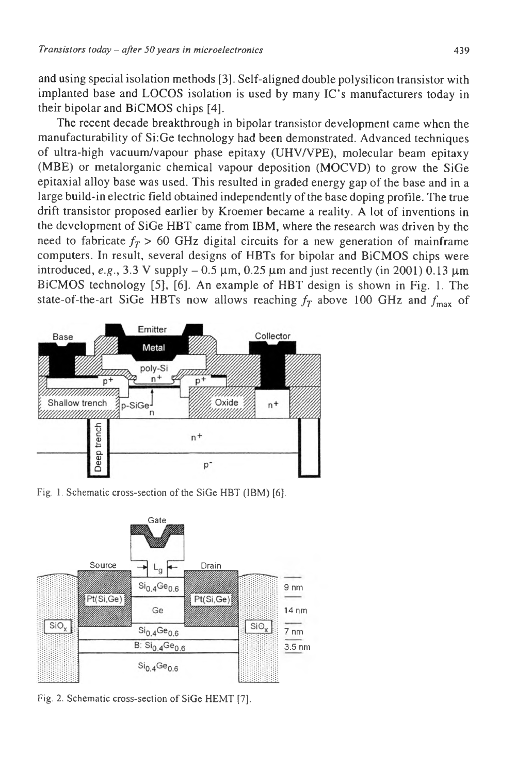and using special isolation methods [3]. Self-aligned double polysilicon transistor with implanted base and LOCOS isolation is used by many IC's manufacturers today in their bipolar and BiCMOS chips [4].

The recent decade breakthrough in bipolar transistor development came when the manufacturability of Si:Ge technology had been demonstrated. Advanced techniques of ultra-high vacuum/vapour phase epitaxy (UHV/VPE), molecular beam epitaxy (MBE) or metalorganic chemical vapour deposition (MOCVD) to grow the SiGe epitaxial alloy base was used. This resulted in graded energy gap of the base and in a large build-in electric field obtained independently of the base doping profile. The true drift transistor proposed earlier by Kroemer became a reality. A lot of inventions in the development of SiGe HBT came from IBM, where the research was driven by the need to fabricate  $f_T > 60$  GHz digital circuits for a new generation of mainframe computers. In result, several designs of HBTs for bipolar and BiCMOS chips were introduced,  $e.g., 3.3$  V supply  $-0.5$   $\mu$ m, 0.25  $\mu$ m and just recently (in 2001) 0.13  $\mu$ m BiCMOS technology [5], [6]. An example of HBT design is shown in Fig. 1. The state-of-the-art SiGe HBTs now allows reaching  $f<sub>T</sub>$  above 100 GHz and  $f<sub>max</sub>$  of



Fig. 1. Schematic cross-section of the SiGe HBT (IBM) [6].



Fig. 2. Schematic cross-section of SiGe HEMT [7].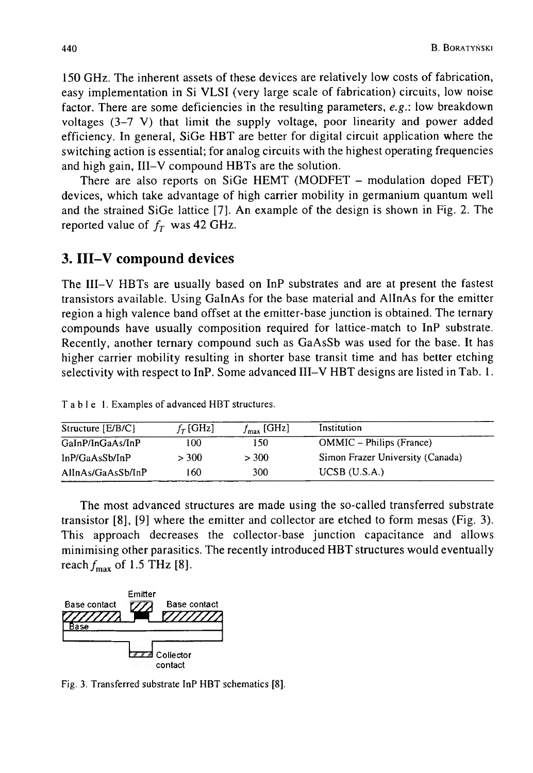150 GHz. The inherent assets of these devices are relatively low costs of fabrication, easy implementation in Si VLSI (very large scale of fabrication) circuits, low noise factor. There are some deficiencies in the resulting parameters, *e.g:.* low breakdown voltages (3-7 V) that limit the supply voltage, poor linearity and power added efficiency. In general, SiGe HBT are better for digital circuit application where the switching action is essential; for analog circuits with the highest operating frequencies and high gain, III—V compound HBTs are the solution.

There are also reports on SiGe HEMT (MODFET – modulation doped FET) devices, which take advantage of high carrier mobility in germanium quantum well and the strained SiGe lattice [7]. An example of the design is shown in Fig. 2. The reported value of  $f<sub>T</sub>$  was 42 GHz.

# **3. III-V compound devices**

The III-V HBTs are usually based on InP substrates and are at present the fastest transistors available. Using GalnAs for the base material and AlInAs for the emitter region a high valence band offset at the emitter-base junction is obtained. The ternary compounds have usually composition required for lattice-match to InP substrate. Recently, another ternary compound such as GaAsSb was used for the base. It has higher carrier mobility resulting in shorter base transit time and has better etching selectivity with respect to InP. Some advanced III-V HBT designs are listed in Tab. 1.

| Structure $[E/B/C]$ | $f_T$ [GHz] | $f_{\text{max}}$ [GHz] | Institution                      |
|---------------------|-------------|------------------------|----------------------------------|
| GaInP/InGaAs/InP    | 100         | 150                    | <b>OMMIC</b> – Philips (France)  |
| In P/GaAsSb/InP     | > 300       | > 300                  | Simon Frazer University (Canada) |
| AlInAs/GaAsSb/InP   | 160         | 300                    | $UCSB$ (U.S.A.)                  |

**Table 1. Examples of advanced HBT structures.**

The most advanced structures are made using the so-called transferred substrate transistor [8], [9] where the emitter and collector are etched to form mesas (Fig. 3). This approach decreases the collector-base junction capacitance and allows minimising other parasitics. The recently introduced HBT structures would eventually reach  $f_{\text{max}}$  of 1.5 THz [8].



**Fig. 3. Transferred substrate InP HBT schematics [8].**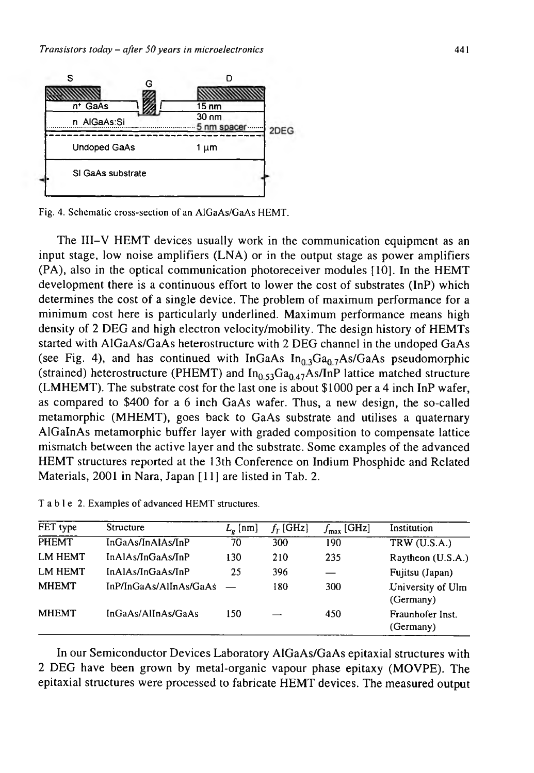

**Fig. 4. Schematic cross-section of an AIGaAs/GaAs HEMT.**

The III—V HEMT devices usually work in the communication equipment as an input stage, low noise amplifiers (LNA) or in the output stage as power amplifiers (PA), also in the optical communication photoreceiver modules [10]. In the HEMT development there is a continuous effort to lower the cost of substrates (InP) which determines the cost of a single device. The problem of maximum performance for a minimum cost here is particularly underlined. Maximum performance means high density of 2 DEG and high electron velocity/mobility. The design history of HEMTs started with AIGaAs/GaAs heterostructure with 2 DEG channel in the undoped GaAs (see Fig. 4), and has continued with InGaAs  $In<sub>0.3</sub>Ga<sub>0.7</sub>As/GaAs$  pseudomorphic (strained) heterostructure (PHEMT) and  $In<sub>0.53</sub>Ga<sub>0.47</sub>As/InP$  lattice matched structure (LMHEMT). The substrate cost for the last one is about \$1000 per a 4 inch InP wafer, as compared to \$400 for a 6 inch GaAs wafer. Thus, a new design, the so-called metamorphic (MHEMT), goes back to GaAs substrate and utilises a quaternary AlGalnAs metamorphic buffer layer with graded composition to compensate lattice mismatch between the active layer and the substrate. Some examples of the advanced HEMT structures reported at the 13th Conference on Indium Phosphide and Related Materials, 2001 in Nara, Japan [11] are listed in Tab. 2.

| FET type       | <b>Structure</b>       | $L_{\nu}$ [nm] | $f_T$ [GHz] | $f_{\text{max}}$ [GHz] | Institution                    |
|----------------|------------------------|----------------|-------------|------------------------|--------------------------------|
| <b>PHEMT</b>   | InGaAs/InAlAs/InP      | 70             | 300         | 190                    | TRW $(U.S.A.)$                 |
| LM HEMT        | InAlAs/InGaAs/InP      | 130            | 210         | 235                    | Raytheon (U.S.A.)              |
| <b>LM HEMT</b> | InAlAs/InGaAs/InP      | 25             | 396         |                        | Fujitsu (Japan)                |
| <b>MHEMT</b>   | InP/InGaAs/AlInAs/GaAs |                | 180         | 300                    | University of Ulm<br>(Germany) |
| <b>MHEMT</b>   | InGaAs/AlInAs/GaAs     | 150            |             | 450                    | Fraunhofer Inst.<br>(Germany)  |

T a b l e 2. Examples of advanced HEMT structures.

In our Semiconductor Devices Laboratory AIGaAs/GaAs epitaxial structures with 2 DEG have been grown by metal-organic vapour phase epitaxy (MOVPE). The epitaxial structures were processed to fabricate HEMT devices. The measured output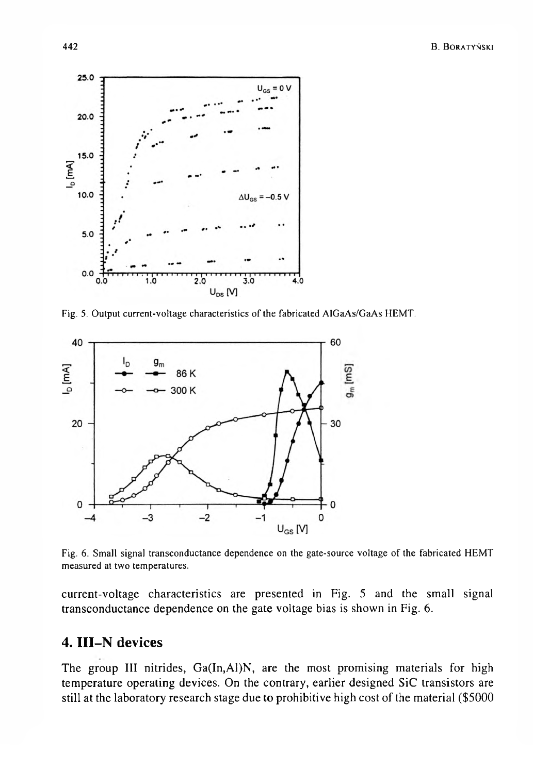

**Fig. 5. Output current-voltage characteristics of the fabricated AIGaAs/GaAs HEMT.**



Fig. 6. Small signal transconductance dependence on the gate-source voltage of the fabricated HEMT **measured at two temperatures.**

current-voltage characteristics are presented in Fig. 5 and the small signal transconductance dependence on the gate voltage bias is shown in Fig. 6.

# **4. III-N devices**

The group III nitrides, Ga(In,Al)N, are the most promising materials for high temperature operating devices. On the contrary, earlier designed SiC transistors are still at the laboratory research stage due to prohibitive high cost of the material (\$5000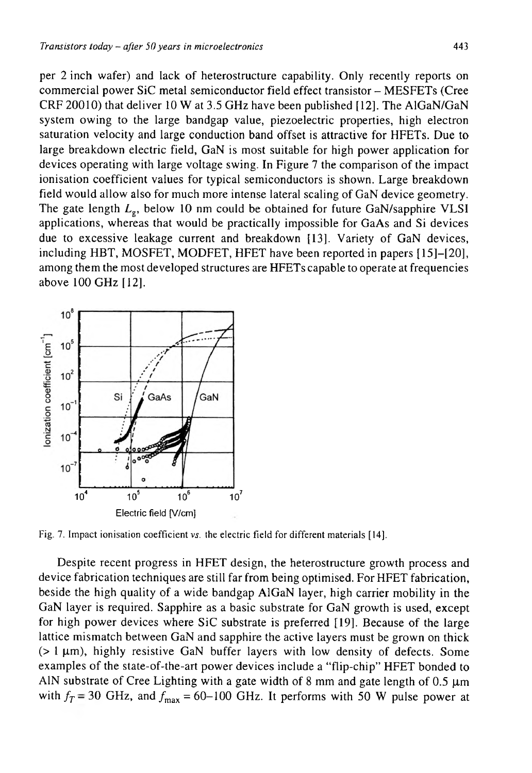per 2 inch wafer) and lack of heterostructure capability. Only recently reports on commercial power SiC metal semiconductor field effect transistor - MESFETs (Cree CRF 20010) that deliver 10 W at 3.5 GHz have been published [12]. The AlGaN/GaN system owing to the large bandgap value, piezoelectric properties, high electron saturation velocity and large conduction band offset is attractive for HFETs. Due to large breakdown electric field, GaN is most suitable for high power application for devices operating with large voltage swing. In Figure 7 the comparison of the impact ionisation coefficient values for typical semiconductors is shown. Large breakdown field would allow also for much more intense lateral scaling of GaN device geometry. The gate length  $L_g$ , below 10 nm could be obtained for future GaN/sapphire VLSI applications, whereas that would be practically impossible for GaAs and Si devices due to excessive leakage current and breakdown [13]. Variety of GaN devices, including HBT, MOSFET, MODFET, HFET have been reported in papers [ 15]—[20], among them the most developed structures are HFETs capable to operate at frequencies above 100 GHz [12].



**Fig. 7. Impact ionisation coefficient** *vs.* **the electric field for different materials [14].**

Despite recent progress in HFET design, the heterostructure growth process and device fabrication techniques are still far from being optimised. For HFET fabrication, beside the high quality of a wide bandgap AlGaN layer, high carrier mobility in the GaN layer is required. Sapphire as a basic substrate for GaN growth is used, except for high power devices where SiC substrate is preferred [19]. Because of the large lattice mismatch between GaN and sapphire the active layers must be grown on thick  $(> 1 \mu m)$ , highly resistive GaN buffer layers with low density of defects. Some examples of the state-of-the-art power devices include a "flip-chip" HFET bonded to AIN substrate of Cree Lighting with a gate width of 8 mm and gate length of  $0.5 \mu m$ with  $f_T = 30$  GHz, and  $f_{\text{max}} = 60 - 100$  GHz. It performs with 50 W pulse power at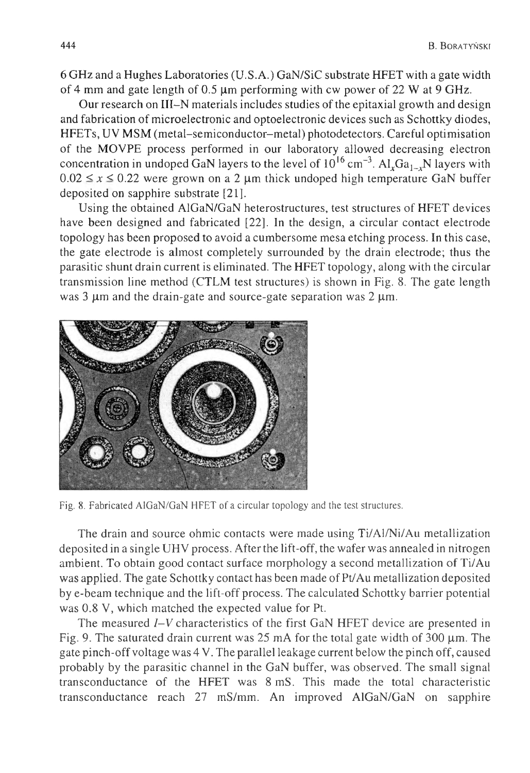6 GHz and a Hughes Laboratories (U.S.A.) GaN/SiC substrate HFET with a gate width of 4 mm and gate length of 0.5  $\mu$ m performing with cw power of 22 W at 9 GHz.

Our research on III-N materials includes studies of the epitaxial growth and design and fabrication of microelectronic and optoelectronic devices such as Schottky diodes, HFETs, UV MSM (metal-semiconductor-metal) photodetectors. Careful optimisation of the MOVPE process performed in our laboratory allowed decreasing electron concentration in undoped GaN layers to the level of  $10^{16}$  cm<sup>-3</sup>. Al<sub>x</sub>Ga<sub>1-x</sub>N layers with  $0.02 \le x \le 0.22$  were grown on a 2  $\mu$ m thick undoped high temperature GaN buffer deposited on sapphire substrate [21].

Using the obtained AlGaN/GaN heterostructures, test structures of HFET devices have been designed and fabricated [22]. In the design, a circular contact electrode topology has been proposed to avoid a cumbersome mesa etching process. In this case, the gate electrode is almost completely surrounded by the drain electrode; thus the parasitic shunt drain current is eliminated. The HFET topology, along with the circular transmission line method (CTLM test structures) is shown in Fig. 8. The gate length was 3  $\mu$ m and the drain-gate and source-gate separation was 2  $\mu$ m.



**Fig. 8. Fabricated AlGaN/GaN HFET of a circular topology and the test structures.**

The drain and source ohmic contacts were made using Ti/Al/Ni/Au metallization deposited in a single UHV process. After the lift-off, the wafer was annealed in nitrogen ambient. To obtain good contact surface morphology a second metallization of Ti/Au was applied. The gate Schottky contact has been made of Pt/Au metallization deposited by e-beam technique and the lift-off process. The calculated Schottky barrier potential was 0.8 V, which matched the expected value for Pt.

The measured *I-V* characteristics of the first GaN HFET device are presented in Fig. 9. The saturated drain current was  $25 \text{ mA}$  for the total gate width of 300  $\mu$ m. The gate pinch-off voltage was 4 V. The parallel leakage current below the pinch off, caused probably by the parasitic channel in the GaN buffer, was observed. The small signal transconductance of the HFET was 8 mS. This made the total characteristic transconductance reach 27 mS/mm. An improved AlGaN/GaN on sapphire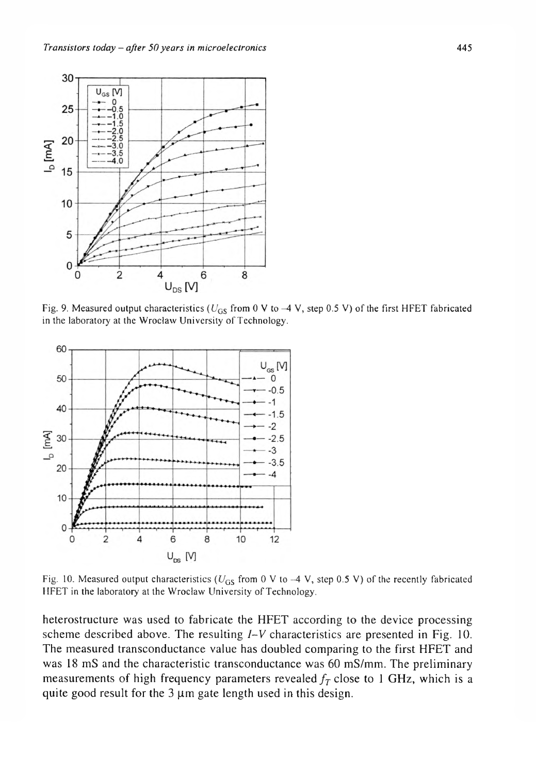

Fig. 9. Measured output characteristics ( $U_{GS}$  from 0 V to  $-4$  V, step 0.5 V) of the first HFET fabricated in the laboratory at the Wrocław University of Technology.



Fig. 10. Measured output characteristics  $(U_{GS}$  from 0 V to -4 V, step 0.5 V) of the recently fabricated **HFET in the laboratory at the Wroclaw University of Technology.**

heterostructure was used to fabricate the HFET according to the device processing scheme described above. The resulting *I-V* characteristics are presented in Fig. 10. The measured transconductance value has doubled comparing to the first HFET and was 18 mS and the characteristic transconductance was 60 mS/mm. The preliminary measurements of high frequency parameters revealed  $f<sub>T</sub>$  close to 1 GHz, which is a quite good result for the  $3 \mu m$  gate length used in this design.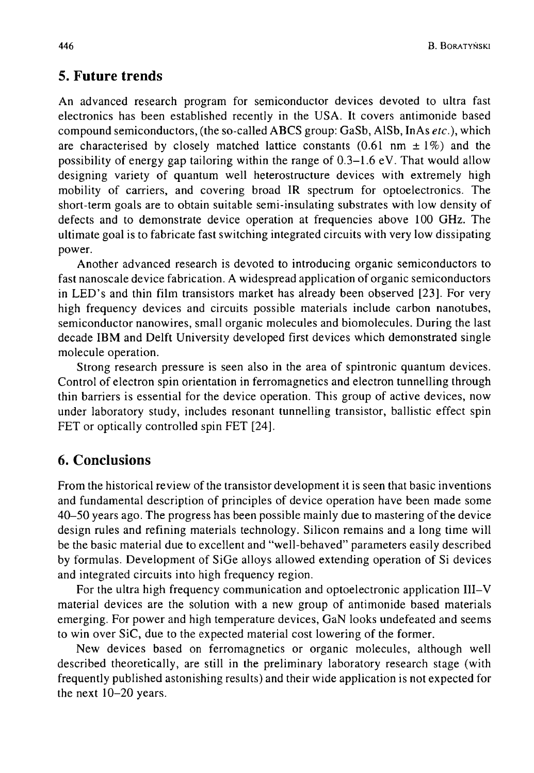### **5. Future trends**

An advanced research program for semiconductor devices devoted to ultra fast electronics has been established recently in the USA. It covers antimonide based compound semiconductors, (the so-called ABCS group: GaSb, AlSb, InAs *etc.),* which are characterised by closely matched lattice constants  $(0.61 \text{ nm} \pm 1\%)$  and the possibility of energy gap tailoring within the range of 0.3-1.6 eV. That would allow designing variety of quantum well heterostructure devices with extremely high mobility of carriers, and covering broad IR spectrum for optoelectronics. The short-term goals are to obtain suitable semi-insulating substrates with low density of defects and to demonstrate device operation at frequencies above 100 GHz. The ultimate goal is to fabricate fast switching integrated circuits with very low dissipating power.

Another advanced research is devoted to introducing organic semiconductors to fast nanoscale device fabrication. A widespread application of organic semiconductors in LED's and thin film transistors market has already been observed [23]. For very high frequency devices and circuits possible materials include carbon nanotubes, semiconductor nanowires, small organic molecules and biomolecules. During the last decade IBM and Delft University developed first devices which demonstrated single molecule operation.

Strong research pressure is seen also in the area of spintronic quantum devices. Control of electron spin orientation in ferromagnetics and electron tunnelling through thin barriers is essential for the device operation. This group of active devices, now under laboratory study, includes resonant tunnelling transistor, ballistic effect spin FET or optically controlled spin FET [24].

## **6. Conclusions**

From the historical review of the transistor development it is seen that basic inventions and fundamental description of principles of device operation have been made some 40-50 years ago. The progress has been possible mainly due to mastering of the device design rules and refining materials technology. Silicon remains and a long time will be the basic material due to excellent and "well-behaved" parameters easily described by formulas. Development of SiGe alloys allowed extending operation of Si devices and integrated circuits into high frequency region.

For the ultra high frequency communication and optoelectronic application III—V material devices are the solution with a new group of antimonide based materials emerging. For power and high temperature devices, GaN looks undefeated and seems to win over SiC, due to the expected material cost lowering of the former.

New devices based on ferromagnetics or organic molecules, although well described theoretically, are still in the preliminary laboratory research stage (with frequently published astonishing results) and their wide application is not expected for the next 10-20 years.